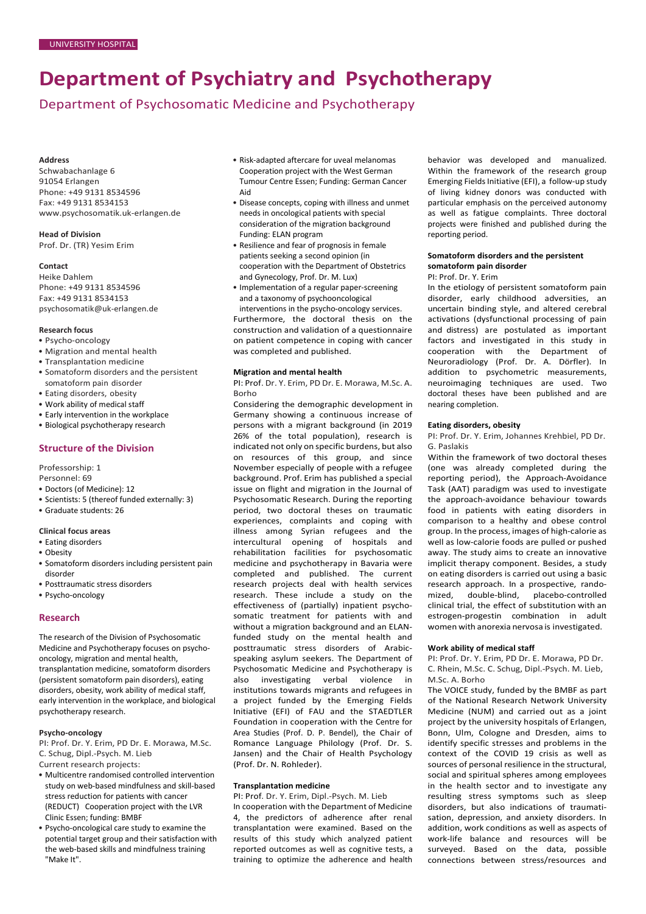# **Department of Psychiatry and Psychotherapy**

Department of Psychosomatic Medicine and Psychotherapy

### **Address**

Schwabachanlage 6 91054 Erlangen Phone: +49 9131 8534596 Fax: +49 9131 8534153 [www.psychosomatik.uk-erlangen.de](http://www.psychosomatik.uk-erlangen.de/)

**Head of Division** Prof. Dr. (TR) Yesim Erim

# **Contact**

Heike Dahlem Phone: +49 9131 8534596 Fax: +49 9131 8534153 [psychosomatik@uk-erlangen.de](mailto:psychosomatik@uk-erlangen.de)

### **Research focus**

- Psycho-oncology
- Migration and mental health
- Transplantation medicine
- Somatoform disorders and the persistent somatoform pain disorder
- Eating disorders, obesity
- Work ability of medical staff
- Early intervention in the workplace
- Biological psychotherapy research

# **Structure of the Division**

Professorship: 1

- Personnel: 69
- Doctors (of Medicine): 12
- Scientists: 5 (thereof funded externally: 3)
- Graduate students: 26

## **Clinical focus areas**

- Eating disorders
- Obesity
- Somatoform disorders including persistent pain disorder
- Posttraumatic stress disorders
- Psycho-oncology

# **Research**

The research of the Division of Psychosomatic Medicine and Psychotherapy focuses on psychooncology, migration and mental health, transplantation medicine, somatoform disorders (persistent somatoform pain disorders), eating disorders, obesity, work ability of medical staff, early intervention in the workplace, and biological psychotherapy research.

## **Psycho-oncology**

PI: Prof. Dr. Y. Erim, PD Dr. E. Morawa, M.Sc. C. Schug, Dipl.-Psych. M. Lieb

- Current research projects:
- Multicentre randomised controlled intervention study on web-based mindfulness and skill-based stress reduction for patients with cancer (REDUCT) Cooperation project with the LVR Clinic Essen; funding: BMBF
- Psycho-oncological care study to examine the potential target group and their satisfaction with the web-based skills and mindfulness training "Make It".
- Risk-adapted aftercare for uveal melanomas Cooperation project with the West German Tumour Centre Essen; Funding: German Cancer Aid
- Disease concepts, coping with illness and unmet needs in oncological patients with special consideration of the migration background Funding: ELAN program
- Resilience and fear of prognosis in female patients seeking a second opinion (in cooperation with the Department of Obstetrics and Gynecology, Prof. Dr. M. Lux)
- Implementation of a regular paper-screening and a taxonomy of psychooncological

interventions in the psycho-oncology services. Furthermore, the doctoral thesis on the construction and validation of a questionnaire on patient competence in coping with cancer was completed and published.

### **Migration and mental health**

PI: Prof. Dr. Y. Erim, PD Dr. E. Morawa, M.Sc. A. Borho

Considering the demographic development in Germany showing a continuous increase of persons with a migrant background (in 2019 26% of the total population), research is indicated not only on specific burdens, but also on resources of this group, and since November especially of people with a refugee background. Prof. Erim has published a special issue on flight and migration in the Journal of Psychosomatic Research. During the reporting period, two doctoral theses on traumatic experiences, complaints and coping with illness among Syrian refugees and the intercultural opening of hospitals and rehabilitation facilities for psychosomatic medicine and psychotherapy in Bavaria were completed and published. The current research projects deal with health services research. These include a study on the effectiveness of (partially) inpatient psychosomatic treatment for patients with and without a migration background and an ELANfunded study on the mental health and posttraumatic stress disorders of Arabicspeaking asylum seekers. The Department of Psychosomatic Medicine and Psychotherapy is also investigating verbal violence in institutions towards migrants and refugees in a project funded by the Emerging Fields Initiative (EFI) of FAU and the STAEDTLER Foundation in cooperation with the Centre for Area Studies (Prof. D. P. Bendel), the Chair of Romance Language Philology (Prof. Dr. S. Jansen) and the Chair of Health Psychology (Prof. Dr. N. Rohleder).

## **Transplantation medicine**

PI: Prof. Dr. Y. Erim, Dipl.-Psych. M. Lieb In cooperation with the Department of Medicine 4, the predictors of adherence after renal transplantation were examined. Based on the results of this study which analyzed patient reported outcomes as well as cognitive tests, a training to optimize the adherence and health

behavior was developed and manualized. Within the framework of the research group Emerging Fields Initiative (EFI), a follow-up study of living kidney donors was conducted with particular emphasis on the perceived autonomy as well as fatigue complaints. Three doctoral projects were finished and published during the reporting period.

# **Somatoform disorders and the persistent somatoform pain disorder**

## PI: Prof. Dr. Y. Erim

In the etiology of persistent somatoform pain disorder, early childhood adversities, an uncertain binding style, and altered cerebral activations (dysfunctional processing of pain and distress) are postulated as important factors and investigated in this study in cooperation with the Department of Neuroradiology (Prof. Dr. A. Dörfler). In addition to psychometric measurements, neuroimaging techniques are used. Two doctoral theses have been published and are nearing completion.

## **Eating disorders, obesity**

PI: Prof. Dr. Y. Erim, Johannes Krehbiel, PD Dr. G. Paslakis

Within the framework of two doctoral theses (one was already completed during the reporting period), the Approach-Avoidance Task (AAT) paradigm was used to investigate the approach-avoidance behaviour towards food in patients with eating disorders in comparison to a healthy and obese control group. In the process, images of high-calorie as well as low-calorie foods are pulled or pushed away. The study aims to create an innovative implicit therapy component. Besides, a study on eating disorders is carried out using a basic research approach. In a prospective, randomized, double-blind, placebo-controlled clinical trial, the effect of substitution with an estrogen-progestin combination in adult women with anorexia nervosa is investigated.

#### **Work ability of medical staff**

PI: Prof. Dr. Y. Erim, PD Dr. E. Morawa, PD Dr. C. Rhein, M.Sc. C. Schug, Dipl.-Psych. M. Lieb, M.Sc. A. Borho

The VOICE study, funded by the BMBF as part of the National Research Network University Medicine (NUM) and carried out as a joint project by the university hospitals of Erlangen, Bonn, Ulm, Cologne and Dresden, aims to identify specific stresses and problems in the context of the COVID 19 crisis as well as sources of personal resilience in the structural, social and spiritual spheres among employees in the health sector and to investigate any resulting stress symptoms such as sleep disorders, but also indications of traumatisation, depression, and anxiety disorders. In addition, work conditions as well as aspects of work-life balance and resources will be surveyed. Based on the data, possible connections between stress/resources and